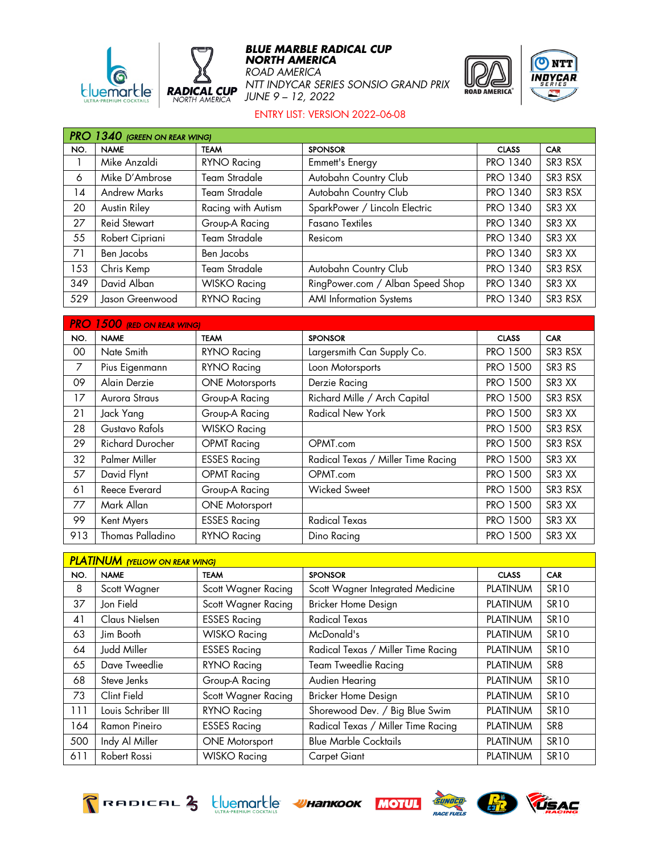



## **BLUE MARBLE RADICAL CUP NORTH AMERICA**

*ROAD AMERICA NTT INDYCAR SERIES SONSIO GRAND PRIX JUNE 9 – 12, 2022*





## ENTRY LIST: VERSION 2022-06-08

|     | <b>PRO 1340 (GREEN ON REAR WING)</b> |                      |                                  |                 |                                |  |  |
|-----|--------------------------------------|----------------------|----------------------------------|-----------------|--------------------------------|--|--|
| NO. | <b>NAME</b>                          | <b>TEAM</b>          | <b>SPONSOR</b>                   | <b>CLASS</b>    | <b>CAR</b>                     |  |  |
|     | Mike Anzaldi                         | <b>RYNO Racing</b>   | Emmett's Energy                  | <b>PRO 1340</b> | SR3 RSX                        |  |  |
| 6   | Mike D'Ambrose                       | <b>Team Stradale</b> | Autobahn Country Club            | <b>PRO 1340</b> | SR3 RSX                        |  |  |
| 14  | <b>Andrew Marks</b>                  | Team Stradale        | Autobahn Country Club            | <b>PRO 1340</b> | SR3 RSX                        |  |  |
| 20  | Austin Riley                         | Racing with Autism   | SparkPower / Lincoln Electric    | <b>PRO 1340</b> | SR <sub>3</sub> X <sub>X</sub> |  |  |
| 27  | <b>Reid Stewart</b>                  | Group-A Racing       | <b>Fasano Textiles</b>           | <b>PRO 1340</b> | SR3 XX                         |  |  |
| 55  | Robert Cipriani                      | <b>Team Stradale</b> | Resicom                          | <b>PRO 1340</b> | SR <sub>3</sub> XX             |  |  |
| 71  | Ben Jacobs                           | Ben Jacobs           |                                  | <b>PRO 1340</b> | SR3 XX                         |  |  |
| 153 | Chris Kemp                           | Team Stradale        | Autobahn Country Club            | <b>PRO 1340</b> | SR3 RSX                        |  |  |
| 349 | David Alban                          | <b>WISKO Racing</b>  | RingPower.com / Alban Speed Shop | <b>PRO 1340</b> | SR <sub>3</sub> X <sub>X</sub> |  |  |
| 529 | Jason Greenwood                      | RYNO Racing          | <b>AMI</b> Information Systems   | <b>PRO 1340</b> | SR3 RSX                        |  |  |

| <b>PRO</b><br>$1500$ (RED ON REAR WING) |                         |                        |                                    |                 |                                |  |
|-----------------------------------------|-------------------------|------------------------|------------------------------------|-----------------|--------------------------------|--|
| NO.                                     | <b>NAME</b>             | <b>TEAM</b>            | <b>SPONSOR</b>                     | <b>CLASS</b>    | <b>CAR</b>                     |  |
| 00                                      | Nate Smith              | <b>RYNO Racing</b>     | Largersmith Can Supply Co.         | <b>PRO 1500</b> | SR3 RSX                        |  |
| 7                                       | Pius Eigenmann          | <b>RYNO Racing</b>     | Loon Motorsports                   | <b>PRO 1500</b> | SR <sub>3</sub> R <sub>S</sub> |  |
| 09                                      | Alain Derzie            | <b>ONE Motorsports</b> | Derzie Racing                      | <b>PRO 1500</b> | SR3 XX                         |  |
| 17                                      | Aurora Straus           | Group-A Racing         | Richard Mille / Arch Capital       | <b>PRO 1500</b> | SR3 RSX                        |  |
| 21                                      | Jack Yang               | Group-A Racing         | <b>Radical New York</b>            | <b>PRO 1500</b> | SR <sub>3</sub> XX             |  |
| 28                                      | Gustavo Rafols          | <b>WISKO Racing</b>    |                                    | <b>PRO 1500</b> | SR3 RSX                        |  |
| 29                                      | <b>Richard Durocher</b> | <b>OPMT</b> Racing     | OPMT.com                           | <b>PRO 1500</b> | SR3 RSX                        |  |
| 32                                      | Palmer Miller           | <b>ESSES Racing</b>    | Radical Texas / Miller Time Racing | <b>PRO 1500</b> | SR3 XX                         |  |
| 57                                      | David Flynt             | <b>OPMT</b> Racing     | OPMT.com                           | <b>PRO 1500</b> | SR <sub>3</sub> XX             |  |
| 61                                      | Reece Everard           | Group-A Racing         | <b>Wicked Sweet</b>                | <b>PRO 1500</b> | SR3 RSX                        |  |
| 77                                      | Mark Allan              | <b>ONE Motorsport</b>  |                                    | <b>PRO 1500</b> | SR3 XX                         |  |
| 99                                      | Kent Myers              | <b>ESSES Racing</b>    | <b>Radical Texas</b>               | <b>PRO 1500</b> | SR3 XX                         |  |
| 913                                     | Thomas Palladino        | RYNO Racing            | Dino Racing                        | <b>PRO 1500</b> | SR3 XX                         |  |

| <b>PLATINUM</b> (YELLOW ON REAR WING) |                    |                       |                                    |                 |                 |  |
|---------------------------------------|--------------------|-----------------------|------------------------------------|-----------------|-----------------|--|
| NO.                                   | <b>NAME</b>        | <b>TEAM</b>           | <b>SPONSOR</b>                     | <b>CLASS</b>    | <b>CAR</b>      |  |
| 8                                     | Scott Wagner       | Scott Wagner Racing   | Scott Wagner Integrated Medicine   | <b>PLATINUM</b> | <b>SR10</b>     |  |
| 37                                    | Jon Field          | Scott Wagner Racing   | Bricker Home Design                | <b>PLATINUM</b> | <b>SR10</b>     |  |
| 41                                    | Claus Nielsen      | <b>ESSES Racing</b>   | <b>Radical Texas</b>               | <b>PLATINUM</b> | <b>SR10</b>     |  |
| 63                                    | Jim Booth          | <b>WISKO Racing</b>   | McDonald's                         | <b>PLATINUM</b> | <b>SR10</b>     |  |
| 64                                    | Judd Miller        | <b>ESSES Racing</b>   | Radical Texas / Miller Time Racing | <b>PLATINUM</b> | <b>SR10</b>     |  |
| 65                                    | Dave Tweedlie      | <b>RYNO Racing</b>    | <b>Team Tweedlie Racing</b>        | <b>PLATINUM</b> | SR <sub>8</sub> |  |
| 68                                    | Steve Jenks        | Group-A Racing        | Audien Hearing                     | <b>PLATINUM</b> | <b>SR10</b>     |  |
| 73                                    | Clint Field        | Scott Wagner Racing   | Bricker Home Design                | <b>PLATINUM</b> | <b>SR10</b>     |  |
| 111                                   | Louis Schriber III | <b>RYNO Racing</b>    | Shorewood Dev. / Big Blue Swim     | <b>PLATINUM</b> | <b>SR10</b>     |  |
| 164                                   | Ramon Pineiro      | <b>ESSES Racing</b>   | Radical Texas / Miller Time Racing | <b>PLATINUM</b> | SR <sub>8</sub> |  |
| 500                                   | Indy Al Miller     | <b>ONE Motorsport</b> | <b>Blue Marble Cocktails</b>       | <b>PLATINUM</b> | <b>SR10</b>     |  |
| 611                                   | Robert Rossi       | <b>WISKO Racing</b>   | <b>Carpet Giant</b>                | <b>PLATINUM</b> | <b>SR10</b>     |  |